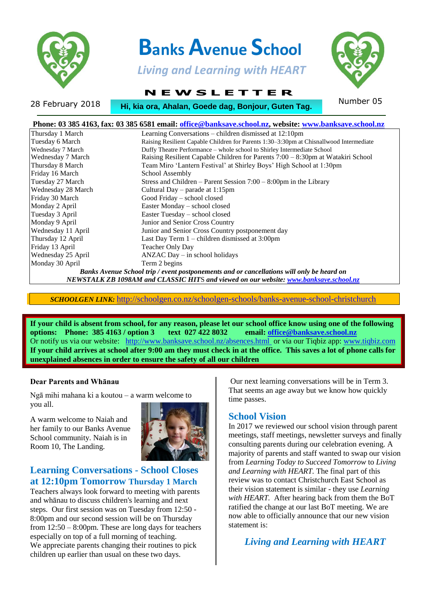

# **Banks Avenue School**

 *Living and Learning with HEART*

 **N E W S L E T T E R**

28 February 2018 **Number 05**<br>28 February 2018 **Number 05 .**

| Phone: 03 385 4163, fax: 03 385 6581 email: office@banksave.school.nz, website: www.banksave.school.nz                                                                             |                                                                                         |  |  |  |
|------------------------------------------------------------------------------------------------------------------------------------------------------------------------------------|-----------------------------------------------------------------------------------------|--|--|--|
| Thursday 1 March                                                                                                                                                                   | Learning Conversations – children dismissed at 12:10pm                                  |  |  |  |
| Tuesday 6 March                                                                                                                                                                    | Raising Resilient Capable Children for Parents 1:30–3:30pm at Chisnallwood Intermediate |  |  |  |
| Wednesday 7 March                                                                                                                                                                  | Duffy Theatre Performance – whole school to Shirley Intermediate School                 |  |  |  |
| Wednesday 7 March                                                                                                                                                                  | Raising Resilient Capable Children for Parents 7:00 – 8:30pm at Watakiri School         |  |  |  |
| Thursday 8 March                                                                                                                                                                   | Team Miro 'Lantern Festival' at Shirley Boys' High School at 1:30pm                     |  |  |  |
| Friday 16 March                                                                                                                                                                    | School Assembly                                                                         |  |  |  |
| Tuesday 27 March                                                                                                                                                                   | Stress and Children – Parent Session $7:00 - 8:00$ pm in the Library                    |  |  |  |
| Wednesday 28 March                                                                                                                                                                 | Cultural Day – parade at 1:15pm                                                         |  |  |  |
| Friday 30 March                                                                                                                                                                    | Good Friday – school closed                                                             |  |  |  |
| Monday 2 April                                                                                                                                                                     | Easter Monday – school closed                                                           |  |  |  |
| Tuesday 3 April                                                                                                                                                                    | Easter Tuesday – school closed                                                          |  |  |  |
| Monday 9 April                                                                                                                                                                     | Junior and Senior Cross Country                                                         |  |  |  |
| Wednesday 11 April                                                                                                                                                                 | Junior and Senior Cross Country postponement day                                        |  |  |  |
| Thursday 12 April                                                                                                                                                                  | Last Day Term 1 – children dismissed at 3:00pm                                          |  |  |  |
| Friday 13 April                                                                                                                                                                    | Teacher Only Day                                                                        |  |  |  |
| Wednesday 25 April                                                                                                                                                                 | $ANZAC$ Day $-$ in school holidays                                                      |  |  |  |
| Monday 30 April                                                                                                                                                                    | Term 2 begins                                                                           |  |  |  |
| Banks Avenue School trip / event postponements and or cancellations will only be heard on<br>NEWSTALK ZB 1098AM and CLASSIC HITS and viewed on our website: www.banksave.school.nz |                                                                                         |  |  |  |

*SCHOOLGEN LINK:* <http://schoolgen.co.nz/schoolgen-schools/banks-avenue-school-christchurch>

**If your child is absent from school, for any reason, please let our school office know using one of the following options: Phone: 385 4163 / option 3 text 027 422 8032 email: office@banksave.school.nz options:** Phone: 385 4163 / option 3 text 027 422 8032 Or notify us via our website: <http://www.banksave.school.nz/absences.html> or via our Tiqbiz app: [www.tiqbiz.com](http://www.tiqbiz.com/) **If your child arrives at school after 9:00 am they must check in at the office. This saves a lot of phone calls for unexplained absences in order to ensure the safety of all our children**

#### **Dear Parents and Whānau**

Ngā mihi mahana ki a koutou – a warm welcome to you all.

A warm welcome to Naiah and her family to our Banks Avenue School community. Naiah is in Room 10, The Landing.



#### **Learning Conversations - School Closes at 12:10pm Tomorrow Thursday 1 March**

Teachers always look forward to meeting with parents and whānau to discuss children's learning and next steps. Our first session was on Tuesday from 12:50 - 8:00pm and our second session will be on Thursday from 12:50 – 8:00pm. These are long days for teachers especially on top of a full morning of teaching. We appreciate parents changing their routines to pick children up earlier than usual on these two days.

Our next learning conversations will be in Term 3. That seems an age away but we know how quickly time passes.

#### **School Vision**

In 2017 we reviewed our school vision through parent meetings, staff meetings, newsletter surveys and finally consulting parents during our celebration evening. A majority of parents and staff wanted to swap our vision from *Learning Today to Succeed Tomorrow* to *Living and Learning with HEART.* The final part of this review was to contact Christchurch East School as their vision statement is similar - they use *Learning*  with HEART. After hearing back from them the BoT ratified the change at our last BoT meeting. We are now able to officially announce that our new vision statement is:

*Living and Learning with HEART*

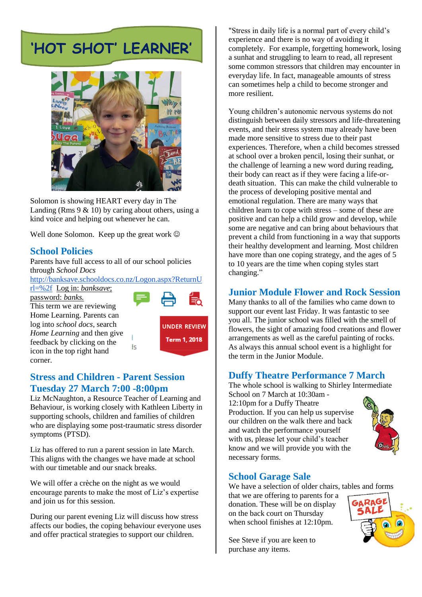# **'HOT SHOT' LEARNER'**



Solomon is showing HEART every day in The Landing (Rms  $9 \& 10$ ) by caring about others, using a kind voice and helping out whenever he can.

Well done Solomon. Keep up the great work  $\odot$ 

### **School Policies**

Parents have full access to all of our school policies through *School Docs*

[http://banksave.schooldocs.co.nz/Logon.aspx?ReturnU](http://banksave.schooldocs.co.nz/Logon.aspx?ReturnUrl=%2f)

łs

[rl=%2f](http://banksave.schooldocs.co.nz/Logon.aspx?ReturnUrl=%2f) Log in: *banksave*;

password: *banks.* This term we are reviewing Home Learning. Parents can log into *school docs*, search *Home Learning* and then give feedback by clicking on the icon in the top right hand corner.



**UNDER REVIEW** Term 1, 2018

#### **Stress and Children - Parent Session Tuesday 27 March 7:00 -8:00pm**

Liz McNaughton, a Resource Teacher of Learning and Behaviour, is working closely with Kathleen Liberty in supporting schools, children and families of children who are displaying some post-traumatic stress disorder symptoms (PTSD).

Liz has offered to run a parent session in late March. This aligns with the changes we have made at school with our timetable and our snack breaks.

We will offer a crèche on the night as we would encourage parents to make the most of Liz's expertise and join us for this session.

During our parent evening Liz will discuss how stress affects our bodies, the coping behaviour everyone uses and offer practical strategies to support our children.

"Stress in daily life is a normal part of every child's experience and there is no way of avoiding it completely. For example, forgetting homework, losing a sunhat and struggling to learn to read, all represent some common stressors that children may encounter in everyday life. In fact, manageable amounts of stress can sometimes help a child to become stronger and more resilient.

Young children's autonomic nervous systems do not distinguish between daily stressors and life-threatening events, and their stress system may already have been made more sensitive to stress due to their past experiences. Therefore, when a child becomes stressed at school over a broken pencil, losing their sunhat, or the challenge of learning a new word during reading, their body can react as if they were facing a life-ordeath situation. This can make the child vulnerable to the process of developing positive mental and emotional regulation. There are many ways that children learn to cope with stress – some of these are positive and can help a child grow and develop, while some are negative and can bring about behaviours that prevent a child from functioning in a way that supports their healthy development and learning. Most children have more than one coping strategy, and the ages of 5 to 10 years are the time when coping styles start changing."

#### **Junior Module Flower and Rock Session**

Many thanks to all of the families who came down to support our event last Friday. It was fantastic to see you all. The junior school was filled with the smell of flowers, the sight of amazing food creations and flower arrangements as well as the careful painting of rocks. As always this annual school event is a highlight for the term in the Junior Module.

#### **Duffy Theatre Performance 7 March**

The whole school is walking to Shirley Intermediate School on 7 March at 10:30am -

12:10pm for a Duffy Theatre Production. If you can help us supervise our children on the walk there and back and watch the performance yourself with us, please let your child's teacher know and we will provide you with the necessary forms.



#### **School Garage Sale**

We have a selection of older chairs, tables and forms

that we are offering to parents for a donation. These will be on display on the back court on Thursday when school finishes at 12:10pm.

See Steve if you are keen to purchase any items.

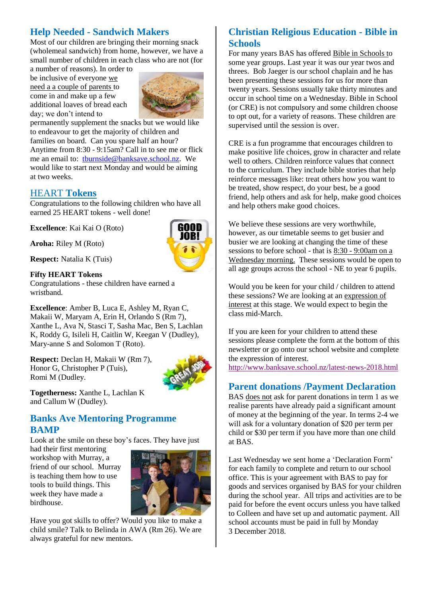# **Help Needed - Sandwich Makers**

Most of our children are bringing their morning snack (wholemeal sandwich) from home, however, we have a small number of children in each class who are not (for a number of reasons). In order to

be inclusive of everyone we need a a couple of parents to come in and make up a few additional loaves of bread each day; we don't intend to



permanently supplement the snacks but we would like to endeavour to get the majority of children and families on board. Can you spare half an hour? Anytime from 8:30 - 9:15am? Call in to see me or flick me an email to: [tburnside@banksave.school.nz.](mailto:tburnside@banksave.school.nz) We would like to start next Monday and would be aiming at two weeks.

#### HEART **Tokens**

Congratulations to the following children who have all earned 25 HEART tokens - well done!

**Excellence**: Kai Kai O (Roto)

**Aroha:** Riley M (Roto)

**Respect:** Natalia K (Tuis)

#### **Fifty HEART Tokens**

Congratulations - these children have earned a wristband.

**Excellence**: Amber B, Luca E, Ashley M, Ryan C, Makaii W, Maryam A, Erin H, Orlando S (Rm 7), Xanthe L, Ava N, Stasci T, Sasha Mac, Ben S, Lachlan K, Roddy G, Isileli H, Caitlin W, Keegan V (Dudley), Mary-anne S and Solomon T (Roto).

**Respect:** Declan H, Makaii W (Rm 7), Honor G, Christopher P (Tuis), Romi M (Dudley.



**Togetherness:** Xanthe L, Lachlan K and Callum W (Dudley).

#### **Banks Ave Mentoring Programme BAMP**

Look at the smile on these boy's faces. They have just

had their first mentoring workshop with Murray, a friend of our school. Murray is teaching them how to use tools to build things. This week they have made a birdhouse.



Have you got skills to offer? Would you like to make a child smile? Talk to Belinda in AWA (Rm 26). We are always grateful for new mentors.

# **Christian Religious Education - Bible in Schools**

For many years BAS has offered Bible in Schools to some year groups. Last year it was our year twos and threes. Bob Jaeger is our school chaplain and he has been presenting these sessions for us for more than twenty years. Sessions usually take thirty minutes and occur in school time on a Wednesday. Bible in School (or CRE) is not compulsory and some children choose to opt out, for a variety of reasons. These children are supervised until the session is over.

CRE is a fun programme that encourages children to make positive life choices, grow in character and relate well to others. Children reinforce values that connect to the curriculum. They include bible stories that help reinforce messages like: treat others how you want to be treated, show respect, do your best, be a good friend, help others and ask for help, make good choices and help others make good choices.

We believe these sessions are very worthwhile, however, as our timetable seems to get busier and busier we are looking at changing the time of these sessions to before school - that is 8:30 - 9:00am on a Wednesday morning. These sessions would be open to all age groups across the school - NE to year 6 pupils.

Would you be keen for your child / children to attend these sessions? We are looking at an expression of interest at this stage. We would expect to begin the class mid-March.

If you are keen for your children to attend these sessions please complete the form at the bottom of this newsletter or go onto our school website and complete the expression of interest.

<http://www.banksave.school.nz/latest-news-2018.html>

#### **Parent donations /Payment Declaration**

BAS does not ask for parent donations in term 1 as we realise parents have already paid a significant amount of money at the beginning of the year. In terms 2-4 we will ask for a voluntary donation of \$20 per term per child or \$30 per term if you have more than one child at BAS.

Last Wednesday we sent home a 'Declaration Form' for each family to complete and return to our school office. This is your agreement with BAS to pay for goods and services organised by BAS for your children during the school year. All trips and activities are to be paid for before the event occurs unless you have talked to Colleen and have set up and automatic payment. All school accounts must be paid in full by Monday 3 December 2018.